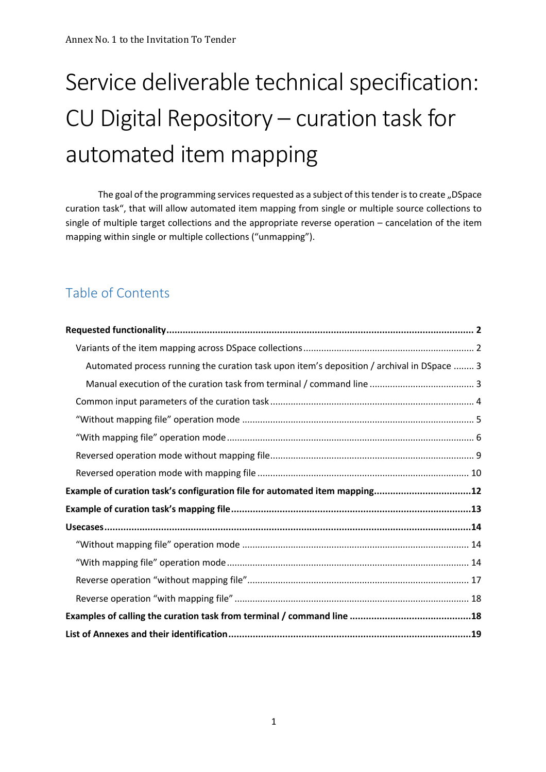# Service deliverable technical specification: CU Digital Repository – curation task for automated item mapping

The goal of the programming services requested as a subject of this tender is to create "DSpace curation task", that will allow automated item mapping from single or multiple source collections to single of multiple target collections and the appropriate reverse operation – cancelation of the item mapping within single or multiple collections ("unmapping").

# Table of Contents

| Automated process running the curation task upon item's deposition / archival in DSpace  3 |
|--------------------------------------------------------------------------------------------|
|                                                                                            |
|                                                                                            |
|                                                                                            |
|                                                                                            |
|                                                                                            |
|                                                                                            |
| Example of curation task's configuration file for automated item mapping12                 |
|                                                                                            |
|                                                                                            |
|                                                                                            |
|                                                                                            |
|                                                                                            |
|                                                                                            |
|                                                                                            |
|                                                                                            |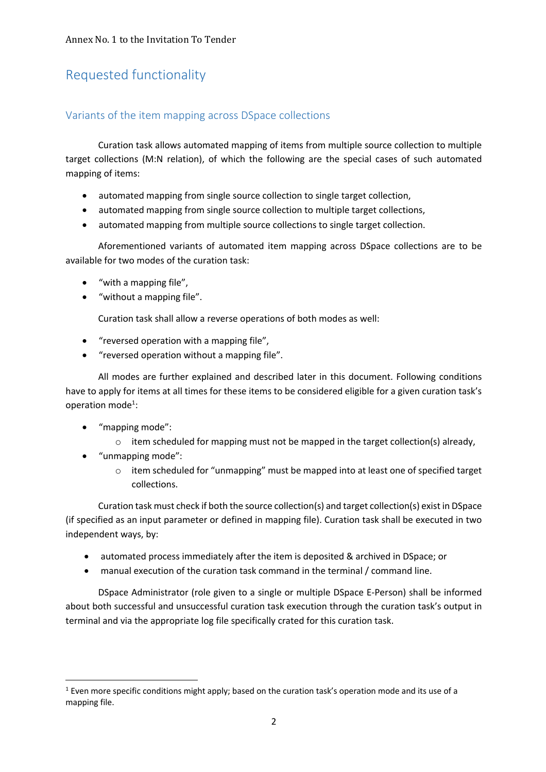# Requested functionality

### Variants of the item mapping across DSpace collections

Curation task allows automated mapping of items from multiple source collection to multiple target collections (M:N relation), of which the following are the special cases of such automated mapping of items:

- automated mapping from single source collection to single target collection,
- automated mapping from single source collection to multiple target collections,
- automated mapping from multiple source collections to single target collection.

Aforementioned variants of automated item mapping across DSpace collections are to be available for two modes of the curation task:

- "with a mapping file",
- "without a mapping file".

Curation task shall allow a reverse operations of both modes as well:

- "reversed operation with a mapping file",
- "reversed operation without a mapping file".

All modes are further explained and described later in this document. Following conditions have to apply for items at all times for these items to be considered eligible for a given curation task's operation mode<sup>1</sup>:

- "mapping mode":
	- $\circ$  item scheduled for mapping must not be mapped in the target collection(s) already,
- "unmapping mode":
	- o item scheduled for "unmapping" must be mapped into at least one of specified target collections.

Curation task must check if both the source collection(s) and target collection(s) exist in DSpace (if specified as an input parameter or defined in mapping file). Curation task shall be executed in two independent ways, by:

- automated process immediately after the item is deposited & archived in DSpace; or
- manual execution of the curation task command in the terminal / command line.

DSpace Administrator (role given to a single or multiple DSpace E-Person) shall be informed about both successful and unsuccessful curation task execution through the curation task's output in terminal and via the appropriate log file specifically crated for this curation task.

<sup>&</sup>lt;sup>1</sup> Even more specific conditions might apply; based on the curation task's operation mode and its use of a mapping file.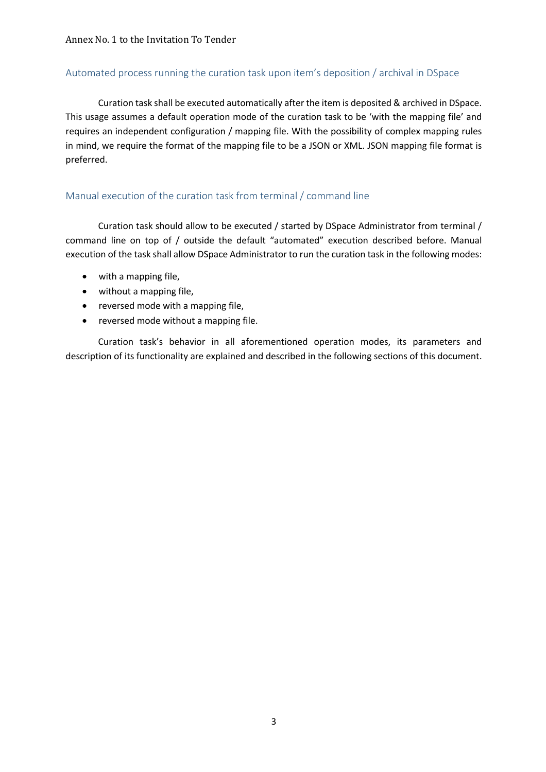#### Automated process running the curation task upon item's deposition / archival in DSpace

Curation task shall be executed automatically after the item is deposited & archived in DSpace. This usage assumes a default operation mode of the curation task to be 'with the mapping file' and requires an independent configuration / mapping file. With the possibility of complex mapping rules in mind, we require the format of the mapping file to be a JSON or XML. JSON mapping file format is preferred.

#### Manual execution of the curation task from terminal / command line

Curation task should allow to be executed / started by DSpace Administrator from terminal / command line on top of / outside the default "automated" execution described before. Manual execution of the task shall allow DSpace Administrator to run the curation task in the following modes:

- with a mapping file,
- without a mapping file,
- reversed mode with a mapping file,
- reversed mode without a mapping file.

Curation task's behavior in all aforementioned operation modes, its parameters and description of its functionality are explained and described in the following sections of this document.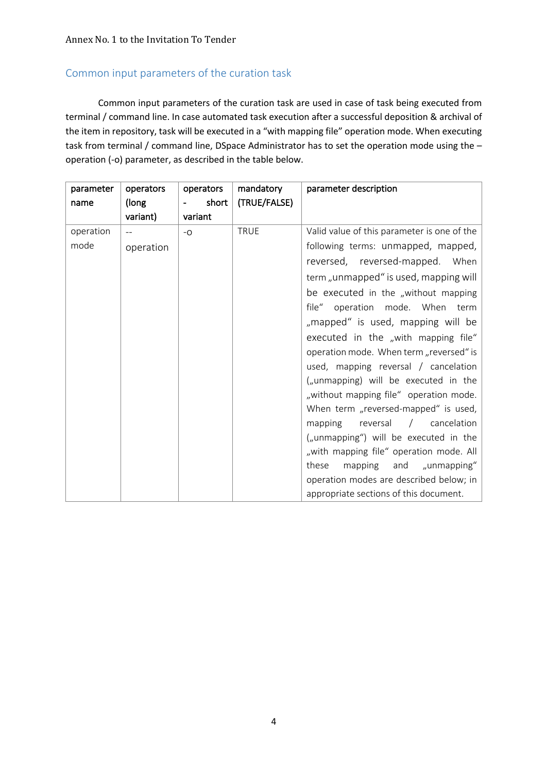# Common input parameters of the curation task

Common input parameters of the curation task are used in case of task being executed from terminal / command line. In case automated task execution after a successful deposition & archival of the item in repository, task will be executed in a "with mapping file" operation mode. When executing task from terminal / command line, DSpace Administrator has to set the operation mode using the operation (-o) parameter, as described in the table below.

| parameter | operators         | operators                         | mandatory    | parameter description                       |
|-----------|-------------------|-----------------------------------|--------------|---------------------------------------------|
| name      | (long)            | short<br>$\overline{\phantom{a}}$ | (TRUE/FALSE) |                                             |
|           | variant)          | variant                           |              |                                             |
| operation | $\qquad \qquad -$ | $-0$                              | <b>TRUE</b>  | Valid value of this parameter is one of the |
| mode      | operation         |                                   |              | following terms: unmapped, mapped,          |
|           |                   |                                   |              | reversed, reversed-mapped. When             |
|           |                   |                                   |              | term "unmapped" is used, mapping will       |
|           |                   |                                   |              | be executed in the "without mapping         |
|           |                   |                                   |              | file" operation mode. When term             |
|           |                   |                                   |              | "mapped" is used, mapping will be           |
|           |                   |                                   |              | executed in the "with mapping file"         |
|           |                   |                                   |              | operation mode. When term "reversed" is     |
|           |                   |                                   |              | used, mapping reversal / cancelation        |
|           |                   |                                   |              | ("unmapping) will be executed in the        |
|           |                   |                                   |              | "without mapping file" operation mode.      |
|           |                   |                                   |              | When term "reversed-mapped" is used,        |
|           |                   |                                   |              | reversal<br>/ cancelation<br>mapping        |
|           |                   |                                   |              | ("unmapping") will be executed in the       |
|           |                   |                                   |              | "with mapping file" operation mode. All     |
|           |                   |                                   |              | mapping and "unmapping"<br>these            |
|           |                   |                                   |              | operation modes are described below; in     |
|           |                   |                                   |              | appropriate sections of this document.      |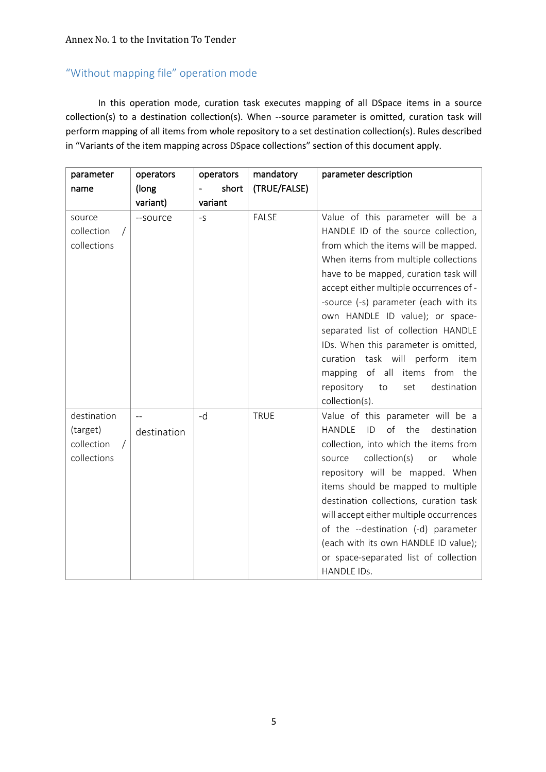# "Without mapping file" operation mode

In this operation mode, curation task executes mapping of all DSpace items in a source collection(s) to a destination collection(s). When --source parameter is omitted, curation task will perform mapping of all items from whole repository to a set destination collection(s). Rules described in "Variants of the item mapping across DSpace collections" section of this document apply.

| parameter   | operators      | operators | mandatory    | parameter description                           |
|-------------|----------------|-----------|--------------|-------------------------------------------------|
| name        | (long          | short     | (TRUE/FALSE) |                                                 |
|             | variant)       | variant   |              |                                                 |
| source      | --source       | $-S$      | <b>FALSE</b> | Value of this parameter will be a               |
| collection  |                |           |              | HANDLE ID of the source collection,             |
| collections |                |           |              | from which the items will be mapped.            |
|             |                |           |              | When items from multiple collections            |
|             |                |           |              | have to be mapped, curation task will           |
|             |                |           |              | accept either multiple occurrences of -         |
|             |                |           |              | -source (-s) parameter (each with its           |
|             |                |           |              | own HANDLE ID value); or space-                 |
|             |                |           |              | separated list of collection HANDLE             |
|             |                |           |              | IDs. When this parameter is omitted,            |
|             |                |           |              | curation task will perform<br>item              |
|             |                |           |              | mapping of all<br>items<br>from the             |
|             |                |           |              | repository<br>destination<br>to<br>set          |
|             |                |           |              | collection(s).                                  |
| destination | $\overline{a}$ | -d        | <b>TRUE</b>  | Value of this parameter will be a               |
| (target)    | destination    |           |              | the<br>ID<br>of<br>destination<br><b>HANDLE</b> |
| collection  |                |           |              | collection, into which the items from           |
| collections |                |           |              | collection(s)<br>whole<br>source<br>or          |
|             |                |           |              | repository will be mapped. When                 |
|             |                |           |              | items should be mapped to multiple              |
|             |                |           |              | destination collections, curation task          |
|             |                |           |              | will accept either multiple occurrences         |
|             |                |           |              | of the --destination (-d) parameter             |
|             |                |           |              | (each with its own HANDLE ID value);            |
|             |                |           |              | or space-separated list of collection           |
|             |                |           |              | HANDLE IDs.                                     |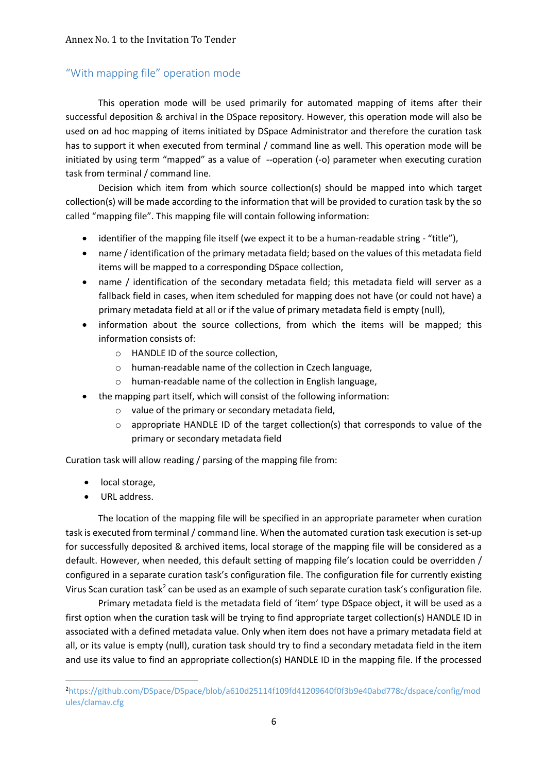# "With mapping file" operation mode

This operation mode will be used primarily for automated mapping of items after their successful deposition & archival in the DSpace repository. However, this operation mode will also be used on ad hoc mapping of items initiated by DSpace Administrator and therefore the curation task has to support it when executed from terminal / command line as well. This operation mode will be initiated by using term "mapped" as a value of --operation (-o) parameter when executing curation task from terminal / command line.

Decision which item from which source collection(s) should be mapped into which target collection(s) will be made according to the information that will be provided to curation task by the so called "mapping file". This mapping file will contain following information:

- identifier of the mapping file itself (we expect it to be a human-readable string "title"),
- name / identification of the primary metadata field; based on the values of this metadata field items will be mapped to a corresponding DSpace collection,
- name / identification of the secondary metadata field; this metadata field will server as a fallback field in cases, when item scheduled for mapping does not have (or could not have) a primary metadata field at all or if the value of primary metadata field is empty (null),
- information about the source collections, from which the items will be mapped; this information consists of:
	- o HANDLE ID of the source collection,
	- o human-readable name of the collection in Czech language,
	- o human-readable name of the collection in English language,
- the mapping part itself, which will consist of the following information:
	- o value of the primary or secondary metadata field,
	- $\circ$  appropriate HANDLE ID of the target collection(s) that corresponds to value of the primary or secondary metadata field

Curation task will allow reading / parsing of the mapping file from:

- local storage,
- URL address.

The location of the mapping file will be specified in an appropriate parameter when curation task is executed from terminal / command line. When the automated curation task execution is set-up for successfully deposited & archived items, local storage of the mapping file will be considered as a default. However, when needed, this default setting of mapping file's location could be overridden / configured in a separate curation task's configuration file. The configuration file for currently existing Virus Scan curation task<sup>2</sup> can be used as an example of such separate curation task's configuration file.

Primary metadata field is the metadata field of 'item' type DSpace object, it will be used as a first option when the curation task will be trying to find appropriate target collection(s) HANDLE ID in associated with a defined metadata value. Only when item does not have a primary metadata field at all, or its value is empty (null), curation task should try to find a secondary metadata field in the item and use its value to find an appropriate collection(s) HANDLE ID in the mapping file. If the processed

<sup>2</sup> https://github.com/DSpace/DSpace/blob/a610d25114f109fd41209640f0f3b9e40abd778c/dspace/config/mod ules/clamav.cfg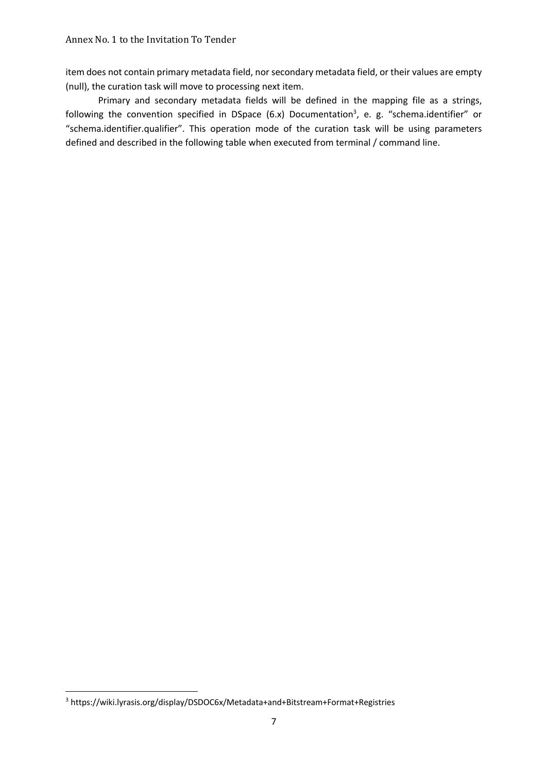item does not contain primary metadata field, nor secondary metadata field, or their values are empty (null), the curation task will move to processing next item.

Primary and secondary metadata fields will be defined in the mapping file as a strings, following the convention specified in DSpace (6.x) Documentation<sup>3</sup>, e. g. "schema.identifier" or "schema.identifier.qualifier". This operation mode of the curation task will be using parameters defined and described in the following table when executed from terminal / command line.

<sup>3</sup> https://wiki.lyrasis.org/display/DSDOC6x/Metadata+and+Bitstream+Format+Registries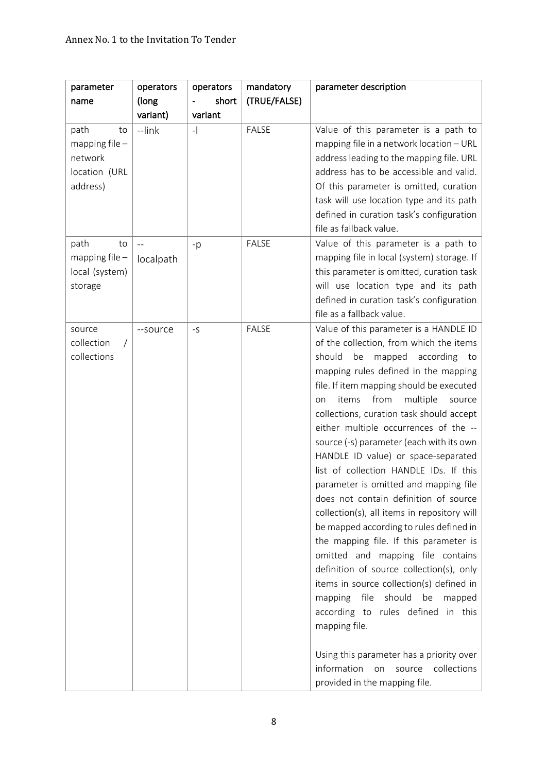| parameter                                                              | operators        | operators | mandatory    | parameter description                                                                                                                                                                                                                                                                                                                                                                                                                                                                                                                                                                                                                                                                                                                                                                                                                                                                                                                                                                                                                                         |
|------------------------------------------------------------------------|------------------|-----------|--------------|---------------------------------------------------------------------------------------------------------------------------------------------------------------------------------------------------------------------------------------------------------------------------------------------------------------------------------------------------------------------------------------------------------------------------------------------------------------------------------------------------------------------------------------------------------------------------------------------------------------------------------------------------------------------------------------------------------------------------------------------------------------------------------------------------------------------------------------------------------------------------------------------------------------------------------------------------------------------------------------------------------------------------------------------------------------|
| name                                                                   | (long            | short     | (TRUE/FALSE) |                                                                                                                                                                                                                                                                                                                                                                                                                                                                                                                                                                                                                                                                                                                                                                                                                                                                                                                                                                                                                                                               |
|                                                                        | variant)         | variant   |              |                                                                                                                                                                                                                                                                                                                                                                                                                                                                                                                                                                                                                                                                                                                                                                                                                                                                                                                                                                                                                                                               |
| path<br>to<br>mapping file $-$<br>network<br>location (URL<br>address) | --link           | $-$       | <b>FALSE</b> | Value of this parameter is a path to<br>mapping file in a network location - URL<br>address leading to the mapping file. URL<br>address has to be accessible and valid.<br>Of this parameter is omitted, curation<br>task will use location type and its path<br>defined in curation task's configuration<br>file as fallback value.                                                                                                                                                                                                                                                                                                                                                                                                                                                                                                                                                                                                                                                                                                                          |
| path<br>to<br>mapping file $-$<br>local (system)<br>storage            | $-$<br>localpath | $-p$      | <b>FALSE</b> | Value of this parameter is a path to<br>mapping file in local (system) storage. If<br>this parameter is omitted, curation task<br>will use location type and its path<br>defined in curation task's configuration<br>file as a fallback value.                                                                                                                                                                                                                                                                                                                                                                                                                                                                                                                                                                                                                                                                                                                                                                                                                |
| source<br>collection<br>collections                                    | --source         | $-S$      | <b>FALSE</b> | Value of this parameter is a HANDLE ID<br>of the collection, from which the items<br>should be<br>mapped according to<br>mapping rules defined in the mapping<br>file. If item mapping should be executed<br>from<br>multiple<br>items<br>on<br>source<br>collections, curation task should accept<br>either multiple occurrences of the --<br>source (-s) parameter (each with its own<br>HANDLE ID value) or space-separated<br>list of collection HANDLE IDs. If this<br>parameter is omitted and mapping file<br>does not contain definition of source<br>collection(s), all items in repository will<br>be mapped according to rules defined in<br>the mapping file. If this parameter is<br>omitted and mapping file contains<br>definition of source collection(s), only<br>items in source collection(s) defined in<br>should<br>be<br>mapping<br>file<br>mapped<br>according to rules defined<br>in this<br>mapping file.<br>Using this parameter has a priority over<br>information<br>collections<br>source<br>on<br>provided in the mapping file. |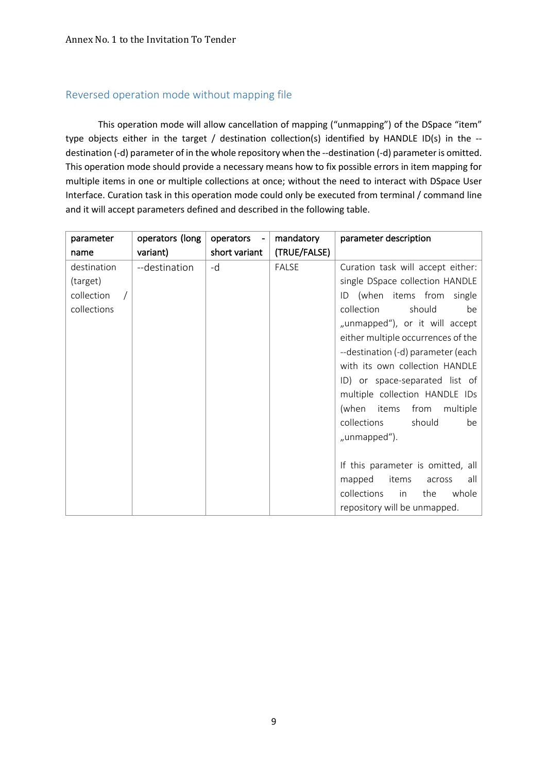## Reversed operation mode without mapping file

This operation mode will allow cancellation of mapping ("unmapping") of the DSpace "item" type objects either in the target / destination collection(s) identified by HANDLE ID(s) in the - destination (-d) parameter of in the whole repository when the --destination (-d) parameter is omitted. This operation mode should provide a necessary means how to fix possible errors in item mapping for multiple items in one or multiple collections at once; without the need to interact with DSpace User Interface. Curation task in this operation mode could only be executed from terminal / command line and it will accept parameters defined and described in the following table.

| parameter   | operators (long | operators     | mandatory    | parameter description              |
|-------------|-----------------|---------------|--------------|------------------------------------|
| name        | variant)        | short variant | (TRUE/FALSE) |                                    |
| destination | --destination   | -d            | <b>FALSE</b> | Curation task will accept either:  |
| (target)    |                 |               |              | single DSpace collection HANDLE    |
| collection  |                 |               |              | (when items from<br>single<br>ID   |
| collections |                 |               |              | collection<br>should<br>be         |
|             |                 |               |              | "unmapped"), or it will accept     |
|             |                 |               |              | either multiple occurrences of the |
|             |                 |               |              | --destination (-d) parameter (each |
|             |                 |               |              | with its own collection HANDLE     |
|             |                 |               |              | ID) or space-separated list of     |
|             |                 |               |              | multiple collection HANDLE IDs     |
|             |                 |               |              | (when<br>multiple<br>items<br>from |
|             |                 |               |              | collections<br>should<br>be        |
|             |                 |               |              | "unmapped").                       |
|             |                 |               |              |                                    |
|             |                 |               |              | If this parameter is omitted, all  |
|             |                 |               |              | items<br>mapped<br>all<br>across   |
|             |                 |               |              | collections<br>whole<br>the<br>in  |
|             |                 |               |              | repository will be unmapped.       |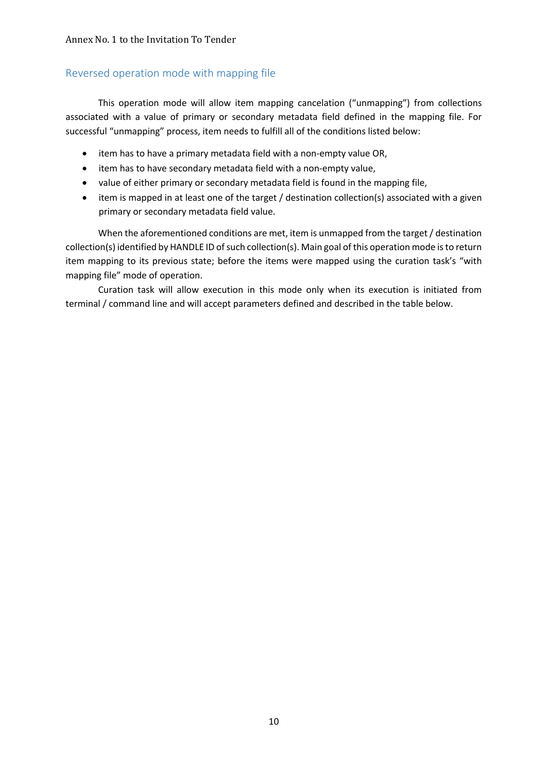## Reversed operation mode with mapping file

This operation mode will allow item mapping cancelation ("unmapping") from collections associated with a value of primary or secondary metadata field defined in the mapping file. For successful "unmapping" process, item needs to fulfill all of the conditions listed below:

- item has to have a primary metadata field with a non-empty value OR,
- item has to have secondary metadata field with a non-empty value,
- value of either primary or secondary metadata field is found in the mapping file,
- item is mapped in at least one of the target / destination collection(s) associated with a given primary or secondary metadata field value.

When the aforementioned conditions are met, item is unmapped from the target / destination collection(s) identified by HANDLE ID of such collection(s). Main goal of this operation mode is to return item mapping to its previous state; before the items were mapped using the curation task's "with mapping file" mode of operation.

Curation task will allow execution in this mode only when its execution is initiated from terminal / command line and will accept parameters defined and described in the table below.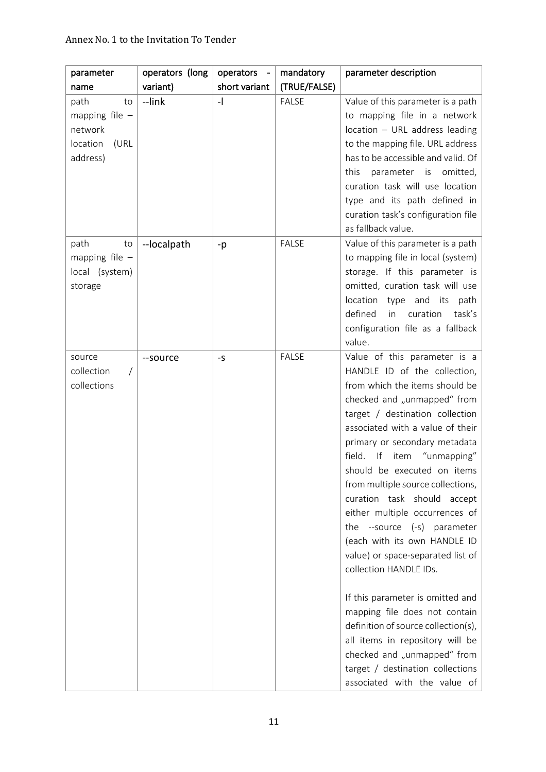#### Annex No. 1 to the Invitation To Tender

| parameter        | operators (long | operators -              | mandatory    | parameter description                                               |
|------------------|-----------------|--------------------------|--------------|---------------------------------------------------------------------|
| name             | variant)        | short variant            | (TRUE/FALSE) |                                                                     |
| path<br>to       | --link          | $\overline{\phantom{a}}$ | <b>FALSE</b> | Value of this parameter is a path                                   |
| mapping file $-$ |                 |                          |              | to mapping file in a network                                        |
| network          |                 |                          |              | location - URL address leading                                      |
| location<br>(URL |                 |                          |              | to the mapping file. URL address                                    |
| address)         |                 |                          |              | has to be accessible and valid. Of                                  |
|                  |                 |                          |              | this<br>parameter is<br>omitted,                                    |
|                  |                 |                          |              | curation task will use location                                     |
|                  |                 |                          |              | type and its path defined in<br>curation task's configuration file  |
|                  |                 |                          |              | as fallback value.                                                  |
| path<br>to       | --localpath     | -p                       | <b>FALSE</b> | Value of this parameter is a path                                   |
| mapping file $-$ |                 |                          |              | to mapping file in local (system)                                   |
| local (system)   |                 |                          |              | storage. If this parameter is                                       |
| storage          |                 |                          |              | omitted, curation task will use                                     |
|                  |                 |                          |              | location type and its<br>path                                       |
|                  |                 |                          |              | defined<br>curation<br>task's<br>in                                 |
|                  |                 |                          |              | configuration file as a fallback                                    |
|                  |                 |                          |              | value.                                                              |
| source           | --source        | $-S$                     | <b>FALSE</b> | Value of this parameter is a                                        |
| collection       |                 |                          |              | HANDLE ID of the collection,                                        |
| collections      |                 |                          |              | from which the items should be                                      |
|                  |                 |                          |              | checked and "unmapped" from                                         |
|                  |                 |                          |              | target / destination collection<br>associated with a value of their |
|                  |                 |                          |              | primary or secondary metadata                                       |
|                  |                 |                          |              | If<br>"unmapping"<br>field.<br>item                                 |
|                  |                 |                          |              | should be executed on items                                         |
|                  |                 |                          |              | from multiple source collections,                                   |
|                  |                 |                          |              | curation task should accept                                         |
|                  |                 |                          |              | either multiple occurrences of                                      |
|                  |                 |                          |              | the --source $(-s)$ parameter                                       |
|                  |                 |                          |              | (each with its own HANDLE ID                                        |
|                  |                 |                          |              | value) or space-separated list of                                   |
|                  |                 |                          |              | collection HANDLE IDs.                                              |
|                  |                 |                          |              | If this parameter is omitted and                                    |
|                  |                 |                          |              | mapping file does not contain                                       |
|                  |                 |                          |              | definition of source collection(s),                                 |
|                  |                 |                          |              | all items in repository will be                                     |
|                  |                 |                          |              | checked and "unmapped" from                                         |
|                  |                 |                          |              | target / destination collections                                    |
|                  |                 |                          |              | associated with the value of                                        |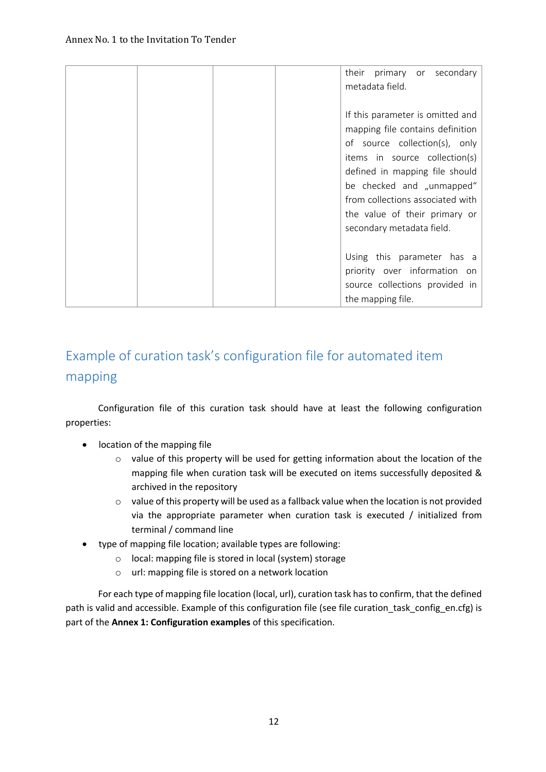|  |  | their<br>primary or secondary<br>metadata field.                                                                                                                                                                                                                                                        |
|--|--|---------------------------------------------------------------------------------------------------------------------------------------------------------------------------------------------------------------------------------------------------------------------------------------------------------|
|  |  | If this parameter is omitted and<br>mapping file contains definition<br>of source collection(s), only<br>items in source collection(s)<br>defined in mapping file should<br>be checked and "unmapped"<br>from collections associated with<br>the value of their primary or<br>secondary metadata field. |
|  |  | Using this parameter has a<br>priority over information on<br>source collections provided in<br>the mapping file.                                                                                                                                                                                       |

# Example of curation task's configuration file for automated item mapping

Configuration file of this curation task should have at least the following configuration properties:

- location of the mapping file
	- o value of this property will be used for getting information about the location of the mapping file when curation task will be executed on items successfully deposited & archived in the repository
	- $\circ$  value of this property will be used as a fallback value when the location is not provided via the appropriate parameter when curation task is executed / initialized from terminal / command line
- type of mapping file location; available types are following:
	- o local: mapping file is stored in local (system) storage
	- o url: mapping file is stored on a network location

For each type of mapping file location (local, url), curation task has to confirm, that the defined path is valid and accessible. Example of this configuration file (see file curation task config en.cfg) is part of the **Annex 1: Configuration examples** of this specification.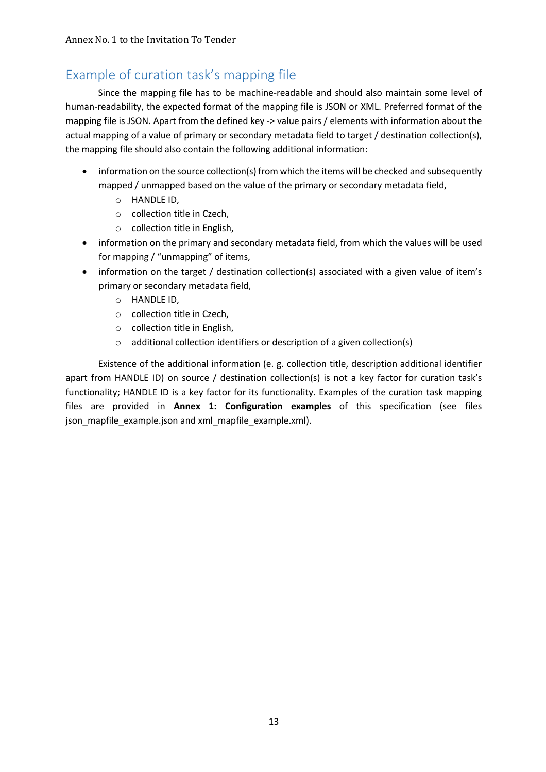# Example of curation task's mapping file

Since the mapping file has to be machine-readable and should also maintain some level of human-readability, the expected format of the mapping file is JSON or XML. Preferred format of the mapping file is JSON. Apart from the defined key -> value pairs / elements with information about the actual mapping of a value of primary or secondary metadata field to target / destination collection(s), the mapping file should also contain the following additional information:

- information on the source collection(s) from which the items will be checked and subsequently mapped / unmapped based on the value of the primary or secondary metadata field,
	- o HANDLE ID,
	- o collection title in Czech,
	- o collection title in English,
- information on the primary and secondary metadata field, from which the values will be used for mapping / "unmapping" of items,
- information on the target / destination collection(s) associated with a given value of item's primary or secondary metadata field,
	- o HANDLE ID,
	- o collection title in Czech,
	- o collection title in English,
	- o additional collection identifiers or description of a given collection(s)

Existence of the additional information (e. g. collection title, description additional identifier apart from HANDLE ID) on source / destination collection(s) is not a key factor for curation task's functionality; HANDLE ID is a key factor for its functionality. Examples of the curation task mapping files are provided in **Annex 1: Configuration examples** of this specification (see files json\_mapfile\_example.json and xml\_mapfile\_example.xml).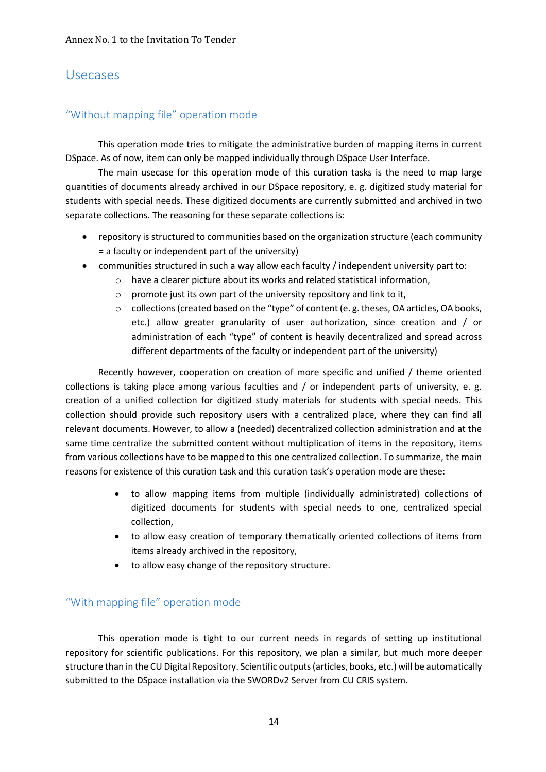# Usecases

## "Without mapping file" operation mode

This operation mode tries to mitigate the administrative burden of mapping items in current DSpace. As of now, item can only be mapped individually through DSpace User Interface.

The main usecase for this operation mode of this curation tasks is the need to map large quantities of documents already archived in our DSpace repository, e. g. digitized study material for students with special needs. These digitized documents are currently submitted and archived in two separate collections. The reasoning for these separate collections is:

- repository is structured to communities based on the organization structure (each community = a faculty or independent part of the university)
- communities structured in such a way allow each faculty / independent university part to:
	- o have a clearer picture about its works and related statistical information,
	- o promote just its own part of the university repository and link to it,
	- $\circ$  collections (created based on the "type" of content (e.g. theses, OA articles, OA books, etc.) allow greater granularity of user authorization, since creation and / or administration of each "type" of content is heavily decentralized and spread across different departments of the faculty or independent part of the university)

Recently however, cooperation on creation of more specific and unified / theme oriented collections is taking place among various faculties and / or independent parts of university, e. g. creation of a unified collection for digitized study materials for students with special needs. This collection should provide such repository users with a centralized place, where they can find all relevant documents. However, to allow a (needed) decentralized collection administration and at the same time centralize the submitted content without multiplication of items in the repository, items from various collections have to be mapped to this one centralized collection. To summarize, the main reasons for existence of this curation task and this curation task's operation mode are these:

- to allow mapping items from multiple (individually administrated) collections of digitized documents for students with special needs to one, centralized special collection,
- to allow easy creation of temporary thematically oriented collections of items from items already archived in the repository,
- to allow easy change of the repository structure.

## "With mapping file" operation mode

This operation mode is tight to our current needs in regards of setting up institutional repository for scientific publications. For this repository, we plan a similar, but much more deeper structure than in the CU Digital Repository. Scientific outputs (articles, books, etc.) will be automatically submitted to the DSpace installation via the SWORDv2 Server from CU CRIS system.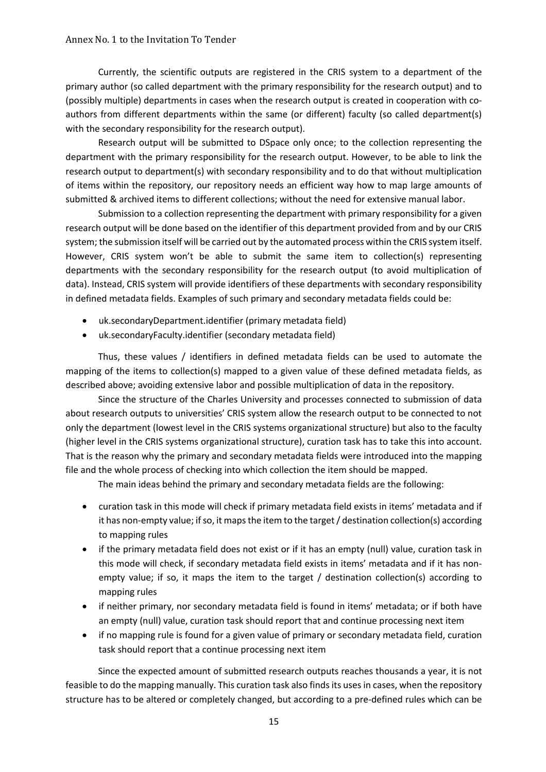Currently, the scientific outputs are registered in the CRIS system to a department of the primary author (so called department with the primary responsibility for the research output) and to (possibly multiple) departments in cases when the research output is created in cooperation with coauthors from different departments within the same (or different) faculty (so called department(s) with the secondary responsibility for the research output).

Research output will be submitted to DSpace only once; to the collection representing the department with the primary responsibility for the research output. However, to be able to link the research output to department(s) with secondary responsibility and to do that without multiplication of items within the repository, our repository needs an efficient way how to map large amounts of submitted & archived items to different collections; without the need for extensive manual labor.

Submission to a collection representing the department with primary responsibility for a given research output will be done based on the identifier of this department provided from and by our CRIS system; the submission itself will be carried out by the automated process within the CRIS system itself. However, CRIS system won't be able to submit the same item to collection(s) representing departments with the secondary responsibility for the research output (to avoid multiplication of data). Instead, CRIS system will provide identifiers of these departments with secondary responsibility in defined metadata fields. Examples of such primary and secondary metadata fields could be:

- uk.secondaryDepartment.identifier (primary metadata field)
- uk.secondaryFaculty.identifier (secondary metadata field)

Thus, these values / identifiers in defined metadata fields can be used to automate the mapping of the items to collection(s) mapped to a given value of these defined metadata fields, as described above; avoiding extensive labor and possible multiplication of data in the repository.

Since the structure of the Charles University and processes connected to submission of data about research outputs to universities' CRIS system allow the research output to be connected to not only the department (lowest level in the CRIS systems organizational structure) but also to the faculty (higher level in the CRIS systems organizational structure), curation task has to take this into account. That is the reason why the primary and secondary metadata fields were introduced into the mapping file and the whole process of checking into which collection the item should be mapped.

The main ideas behind the primary and secondary metadata fields are the following:

- curation task in this mode will check if primary metadata field exists in items' metadata and if it has non-empty value; if so, it maps the item to the target / destination collection(s) according to mapping rules
- if the primary metadata field does not exist or if it has an empty (null) value, curation task in this mode will check, if secondary metadata field exists in items' metadata and if it has nonempty value; if so, it maps the item to the target / destination collection(s) according to mapping rules
- if neither primary, nor secondary metadata field is found in items' metadata; or if both have an empty (null) value, curation task should report that and continue processing next item
- if no mapping rule is found for a given value of primary or secondary metadata field, curation task should report that a continue processing next item

Since the expected amount of submitted research outputs reaches thousands a year, it is not feasible to do the mapping manually. This curation task also finds its uses in cases, when the repository structure has to be altered or completely changed, but according to a pre-defined rules which can be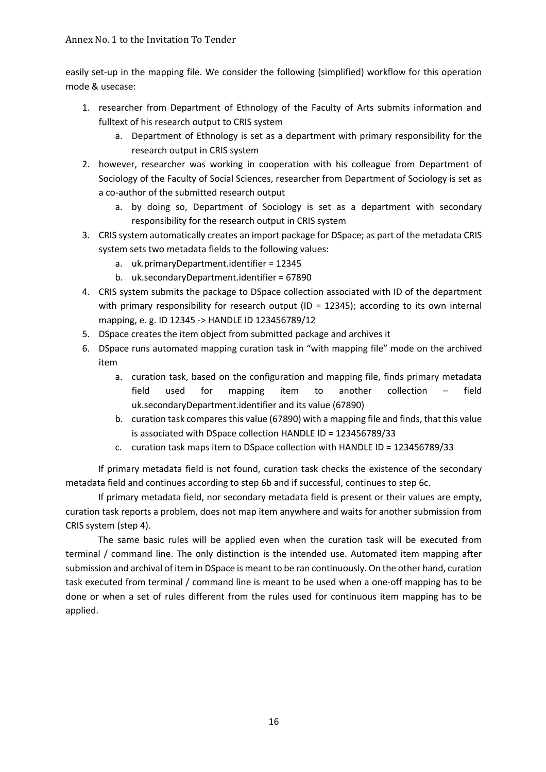easily set-up in the mapping file. We consider the following (simplified) workflow for this operation mode & usecase:

- 1. researcher from Department of Ethnology of the Faculty of Arts submits information and fulltext of his research output to CRIS system
	- a. Department of Ethnology is set as a department with primary responsibility for the research output in CRIS system
- 2. however, researcher was working in cooperation with his colleague from Department of Sociology of the Faculty of Social Sciences, researcher from Department of Sociology is set as a co-author of the submitted research output
	- a. by doing so, Department of Sociology is set as a department with secondary responsibility for the research output in CRIS system
- 3. CRIS system automatically creates an import package for DSpace; as part of the metadata CRIS system sets two metadata fields to the following values:
	- a. uk.primaryDepartment.identifier = 12345
	- b. uk.secondaryDepartment.identifier = 67890
- 4. CRIS system submits the package to DSpace collection associated with ID of the department with primary responsibility for research output (ID = 12345); according to its own internal mapping, e. g. ID 12345 -> HANDLE ID 123456789/12
- 5. DSpace creates the item object from submitted package and archives it
- 6. DSpace runs automated mapping curation task in "with mapping file" mode on the archived item
	- a. curation task, based on the configuration and mapping file, finds primary metadata field used for mapping item to another collection – field uk.secondaryDepartment.identifier and its value (67890)
	- b. curation task compares this value (67890) with a mapping file and finds, that this value is associated with DSpace collection HANDLE ID = 123456789/33
	- c. curation task maps item to DSpace collection with HANDLE ID = 123456789/33

If primary metadata field is not found, curation task checks the existence of the secondary metadata field and continues according to step 6b and if successful, continues to step 6c.

If primary metadata field, nor secondary metadata field is present or their values are empty, curation task reports a problem, does not map item anywhere and waits for another submission from CRIS system (step 4).

The same basic rules will be applied even when the curation task will be executed from terminal / command line. The only distinction is the intended use. Automated item mapping after submission and archival of item in DSpace is meant to be ran continuously. On the other hand, curation task executed from terminal / command line is meant to be used when a one-off mapping has to be done or when a set of rules different from the rules used for continuous item mapping has to be applied.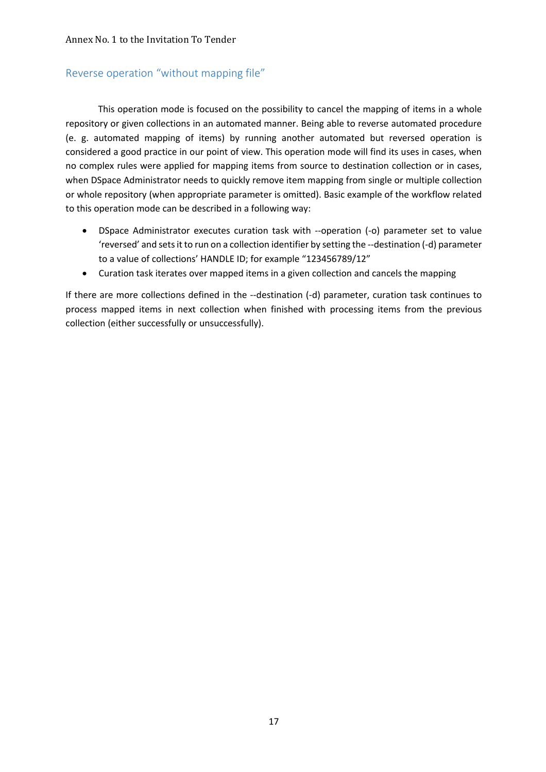## Reverse operation "without mapping file"

This operation mode is focused on the possibility to cancel the mapping of items in a whole repository or given collections in an automated manner. Being able to reverse automated procedure (e. g. automated mapping of items) by running another automated but reversed operation is considered a good practice in our point of view. This operation mode will find its uses in cases, when no complex rules were applied for mapping items from source to destination collection or in cases, when DSpace Administrator needs to quickly remove item mapping from single or multiple collection or whole repository (when appropriate parameter is omitted). Basic example of the workflow related to this operation mode can be described in a following way:

- DSpace Administrator executes curation task with --operation (-o) parameter set to value 'reversed' and sets it to run on a collection identifier by setting the --destination (-d) parameter to a value of collections' HANDLE ID; for example "123456789/12"
- Curation task iterates over mapped items in a given collection and cancels the mapping

If there are more collections defined in the --destination (-d) parameter, curation task continues to process mapped items in next collection when finished with processing items from the previous collection (either successfully or unsuccessfully).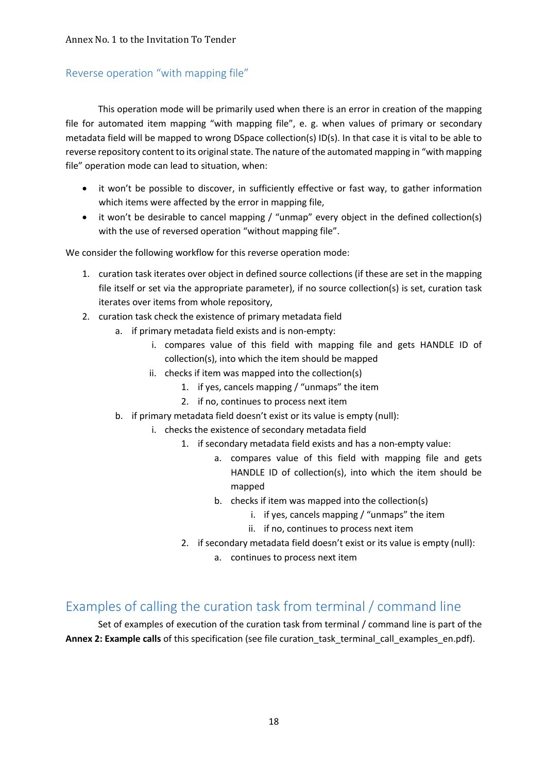# Reverse operation "with mapping file"

This operation mode will be primarily used when there is an error in creation of the mapping file for automated item mapping "with mapping file", e. g. when values of primary or secondary metadata field will be mapped to wrong DSpace collection(s) ID(s). In that case it is vital to be able to reverse repository content to its original state. The nature of the automated mapping in "with mapping file" operation mode can lead to situation, when:

- it won't be possible to discover, in sufficiently effective or fast way, to gather information which items were affected by the error in mapping file,
- it won't be desirable to cancel mapping / "unmap" every object in the defined collection(s) with the use of reversed operation "without mapping file".

We consider the following workflow for this reverse operation mode:

- 1. curation task iterates over object in defined source collections (if these are set in the mapping file itself or set via the appropriate parameter), if no source collection(s) is set, curation task iterates over items from whole repository,
- 2. curation task check the existence of primary metadata field
	- a. if primary metadata field exists and is non-empty:
		- i. compares value of this field with mapping file and gets HANDLE ID of collection(s), into which the item should be mapped
		- ii. checks if item was mapped into the collection(s)
			- 1. if yes, cancels mapping / "unmaps" the item
			- 2. if no, continues to process next item
	- b. if primary metadata field doesn't exist or its value is empty (null):
		- i. checks the existence of secondary metadata field
			- 1. if secondary metadata field exists and has a non-empty value:
				- a. compares value of this field with mapping file and gets HANDLE ID of collection(s), into which the item should be mapped
				- b. checks if item was mapped into the collection(s)
					- i. if yes, cancels mapping / "unmaps" the item
					- ii. if no, continues to process next item
			- 2. if secondary metadata field doesn't exist or its value is empty (null):
				- a. continues to process next item

# Examples of calling the curation task from terminal / command line

Set of examples of execution of the curation task from terminal / command line is part of the Annex 2: Example calls of this specification (see file curation task terminal call examples en.pdf).